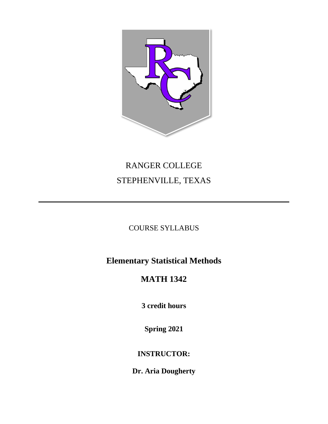

# RANGER COLLEGE STEPHENVILLE, TEXAS

# COURSE SYLLABUS

# **Elementary Statistical Methods**

# **MATH 1342**

**3 credit hours**

**Spring 2021**

# **INSTRUCTOR:**

**Dr. Aria Dougherty**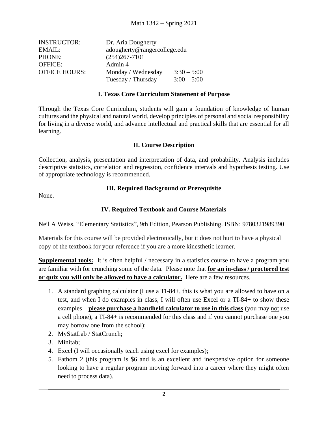| <b>INSTRUCTOR:</b>   | Dr. Aria Dougherty           |               |
|----------------------|------------------------------|---------------|
| EMAIL:               | adougherty@rangercollege.edu |               |
| PHONE:               | $(254)267 - 7101$            |               |
| <b>OFFICE:</b>       | Admin 4                      |               |
| <b>OFFICE HOURS:</b> | Monday / Wednesday           | $3:30 - 5:00$ |
|                      | Tuesday / Thursday           | $3:00 - 5:00$ |

### **I. Texas Core Curriculum Statement of Purpose**

Through the Texas Core Curriculum, students will gain a foundation of knowledge of human cultures and the physical and natural world, develop principles of personal and social responsibility for living in a diverse world, and advance intellectual and practical skills that are essential for all learning.

#### **II. Course Description**

Collection, analysis, presentation and interpretation of data, and probability. Analysis includes descriptive statistics, correlation and regression, confidence intervals and hypothesis testing. Use of appropriate technology is recommended.

#### **III. Required Background or Prerequisite**

None.

### **IV. Required Textbook and Course Materials**

Neil A Weiss, "Elementary Statistics", 9th Edition, Pearson Publishing. ISBN: 9780321989390

Materials for this course will be provided electronically, but it does not hurt to have a physical copy of the textbook for your reference if you are a more kinesthetic learner.

**Supplemental tools:** It is often helpful / necessary in a statistics course to have a program you are familiar with for crunching some of the data. Please note that **for an in-class / proctored test or quiz you will only be allowed to have a calculator.** Here are a few resources.

- 1. A standard graphing calculator (I use a TI-84+, this is what you are allowed to have on a test, and when I do examples in class, I will often use Excel or a TI-84+ to show these examples – **please purchase a handheld calculator to use in this class** (you may not use a cell phone), a TI-84+ is recommended for this class and if you cannot purchase one you may borrow one from the school);
- 2. MyStatLab / StatCrunch;
- 3. Minitab;
- 4. Excel (I will occasionally teach using excel for examples);
- 5. Fathom 2 (this program is \$6 and is an excellent and inexpensive option for someone looking to have a regular program moving forward into a career where they might often need to process data).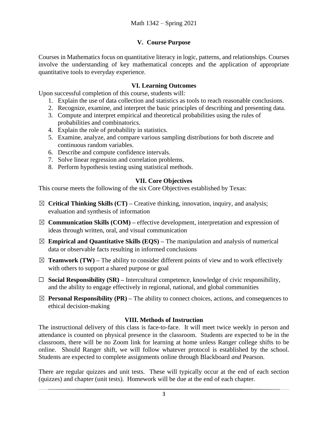# **V. Course Purpose**

Courses in Mathematics focus on quantitative literacy in logic, patterns, and relationships. Courses involve the understanding of key mathematical concepts and the application of appropriate quantitative tools to everyday experience.

## **VI. Learning Outcomes**

Upon successful completion of this course, students will:

- 1. Explain the use of data collection and statistics as tools to reach reasonable conclusions.
- 2. Recognize, examine, and interpret the basic principles of describing and presenting data.
- 3. Compute and interpret empirical and theoretical probabilities using the rules of probabilities and combinatorics.
- 4. Explain the role of probability in statistics.
- 5. Examine, analyze, and compare various sampling distributions for both discrete and continuous random variables.
- 6. Describe and compute confidence intervals.
- 7. Solve linear regression and correlation problems.
- 8. Perform hypothesis testing using statistical methods.

# **VII. Core Objectives**

This course meets the following of the six Core Objectives established by Texas:

- ☒ **Critical Thinking Skills (CT) –** Creative thinking, innovation, inquiry, and analysis; evaluation and synthesis of information
- ☒ **Communication Skills (COM) –** effective development, interpretation and expression of ideas through written, oral, and visual communication
- $\boxtimes$  **Empirical and Quantitative Skills (EQS)** The manipulation and analysis of numerical data or observable facts resulting in informed conclusions
- $\boxtimes$  **Teamwork (TW)** The ability to consider different points of view and to work effectively with others to support a shared purpose or goal
- ☐ **Social Responsibility (SR) –** Intercultural competence, knowledge of civic responsibility, and the ability to engage effectively in regional, national, and global communities
- $\boxtimes$  **Personal Responsibility (PR)** The ability to connect choices, actions, and consequences to ethical decision-making

# **VIII. Methods of Instruction**

The instructional delivery of this class is face-to-face. It will meet twice weekly in person and attendance is counted on physical presence in the classroom. Students are expected to be in the classroom, there will be no Zoom link for learning at home unless Ranger college shifts to be online. Should Ranger shift, we will follow whatever protocol is established by the school. Students are expected to complete assignments online through Blackboard *and* Pearson.

There are regular quizzes and unit tests. These will typically occur at the end of each section (quizzes) and chapter (unit tests). Homework will be due at the end of each chapter.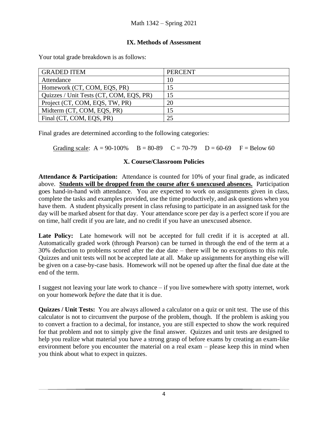## **IX. Methods of Assessment**

Your total grade breakdown is as follows:

| <b>GRADED ITEM</b>                      | <b>PERCENT</b> |
|-----------------------------------------|----------------|
| Attendance                              | 10             |
| Homework (CT, COM, EQS, PR)             |                |
| Quizzes / Unit Tests (CT, COM, EQS, PR) |                |
| Project (CT, COM, EQS, TW, PR)          | 20             |
| Midterm (CT, COM, EQS, PR)              |                |
| Final (CT, COM, EQS, PR)                |                |

Final grades are determined according to the following categories:

Grading scale:  $A = 90-100\%$   $B = 80-89$   $C = 70-79$   $D = 60-69$   $F = Below 60$ 

# **X. Course/Classroom Policies**

**Attendance & Participation:** Attendance is counted for 10% of your final grade, as indicated above. **Students will be dropped from the course after 6 unexcused absences.** Participation goes hand-in-hand with attendance. You are expected to work on assignments given in class, complete the tasks and examples provided, use the time productively, and ask questions when you have them. A student physically present in class refusing to participate in an assigned task for the day will be marked absent for that day. Your attendance score per day is a perfect score if you are on time, half credit if you are late, and no credit if you have an unexcused absence.

Late Policy: Late homework will not be accepted for full credit if it is accepted at all. Automatically graded work (through Pearson) can be turned in through the end of the term at a 30% deduction to problems scored after the due date – there will be no exceptions to this rule. Quizzes and unit tests will not be accepted late at all. Make up assignments for anything else will be given on a case-by-case basis. Homework will not be opened up after the final due date at the end of the term.

I suggest not leaving your late work to chance – if you live somewhere with spotty internet, work on your homework *before* the date that it is due.

**Quizzes / Unit Tests:** You are always allowed a calculator on a quiz or unit test. The use of this calculator is not to circumvent the purpose of the problem, though. If the problem is asking you to convert a fraction to a decimal, for instance, you are still expected to show the work required for that problem and not to simply give the final answer. Quizzes and unit tests are designed to help you realize what material you have a strong grasp of before exams by creating an exam-like environment before you encounter the material on a real exam – please keep this in mind when you think about what to expect in quizzes.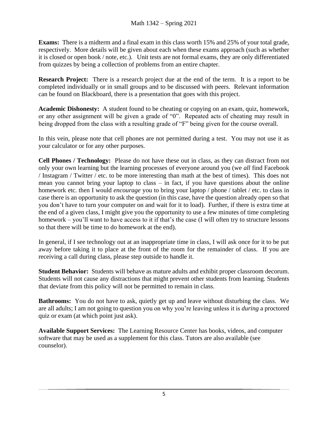**Exams:** There is a midterm and a final exam in this class worth 15% and 25% of your total grade, respectively. More details will be given about each when these exams approach (such as whether it is closed or open book / note, etc.). Unit tests are not formal exams, they are only differentiated from quizzes by being a collection of problems from an entire chapter.

**Research Project:** There is a research project due at the end of the term. It is a report to be completed individually or in small groups and to be discussed with peers. Relevant information can be found on Blackboard, there is a presentation that goes with this project.

**Academic Dishonesty:** A student found to be cheating or copying on an exam, quiz, homework, or any other assignment will be given a grade of "0". Repeated acts of cheating may result in being dropped from the class with a resulting grade of "F" being given for the course overall.

In this vein, please note that cell phones are not permitted during a test. You may not use it as your calculator or for any other purposes.

**Cell Phones / Technology:** Please do not have these out in class, as they can distract from not only your own learning but the learning processes of everyone around you (we *all* find Facebook / Instagram / Twitter / etc. to be more interesting than math at the best of times). This does not mean you cannot bring your laptop to class – in fact, if you have questions about the online homework etc. then I would *encourage* you to bring your laptop / phone / tablet / etc. to class in case there is an opportunity to ask the question (in this case, have the question already open so that you don't have to turn your computer on and wait for it to load). Further, if there is extra time at the end of a given class, I might give you the opportunity to use a few minutes of time completing homework – you'll want to have access to it if that's the case (I will often try to structure lessons so that there will be time to do homework at the end).

In general, if I see technology out at an inappropriate time in class, I will ask once for it to be put away before taking it to place at the front of the room for the remainder of class. If you are receiving a call during class, please step outside to handle it.

**Student Behavior:** Students will behave as mature adults and exhibit proper classroom decorum. Students will not cause any distractions that might prevent other students from learning. Students that deviate from this policy will not be permitted to remain in class.

**Bathrooms:** You do not have to ask, quietly get up and leave without disturbing the class. We are all adults; I am not going to question you on why you're leaving unless it is *during* a proctored quiz or exam (at which point just ask).

**Available Support Services:** The Learning Resource Center has books, videos, and computer software that may be used as a supplement for this class. Tutors are also available (see counselor).